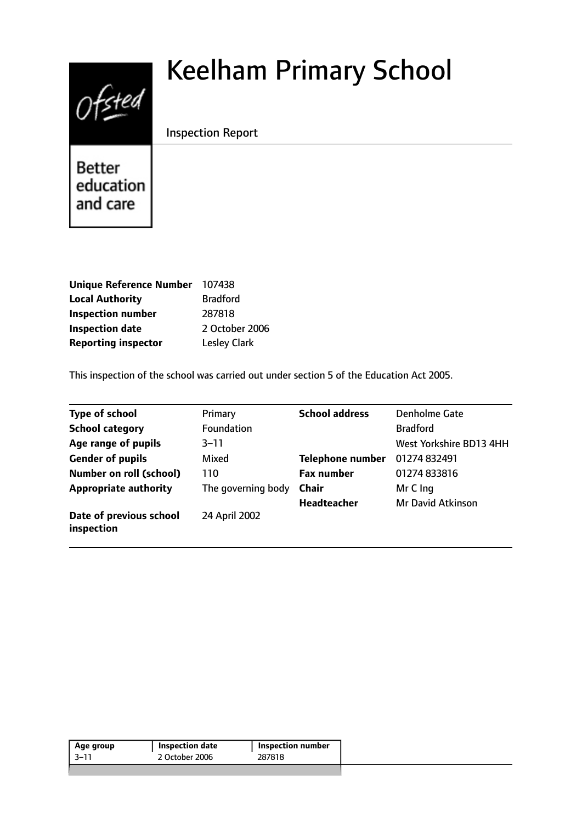# $0$ fsted

# Keelham Primary School

Inspection Report

**Better** education and care

| Unique Reference Number 107438 |                     |
|--------------------------------|---------------------|
| <b>Local Authority</b>         | <b>Bradford</b>     |
| <b>Inspection number</b>       | 287818              |
| <b>Inspection date</b>         | 2 October 2006      |
| <b>Reporting inspector</b>     | <b>Lesley Clark</b> |

This inspection of the school was carried out under section 5 of the Education Act 2005.

| <b>Type of school</b>                 | Primary            | <b>School address</b>   | Denholme Gate            |
|---------------------------------------|--------------------|-------------------------|--------------------------|
| <b>School category</b>                | <b>Foundation</b>  |                         | <b>Bradford</b>          |
| Age range of pupils                   | $3 - 11$           |                         | West Yorkshire BD13 4HH  |
| <b>Gender of pupils</b>               | Mixed              | <b>Telephone number</b> | 01274 832491             |
| <b>Number on roll (school)</b>        | 110                | <b>Fax number</b>       | 01274 833816             |
| <b>Appropriate authority</b>          | The governing body | <b>Chair</b>            | Mr C Ing                 |
|                                       |                    | <b>Headteacher</b>      | <b>Mr David Atkinson</b> |
| Date of previous school<br>inspection | 24 April 2002      |                         |                          |

| 2 October 2006<br>287818<br>3–11 | Age group | Inspection date | Inspection number ! |
|----------------------------------|-----------|-----------------|---------------------|
|                                  |           |                 |                     |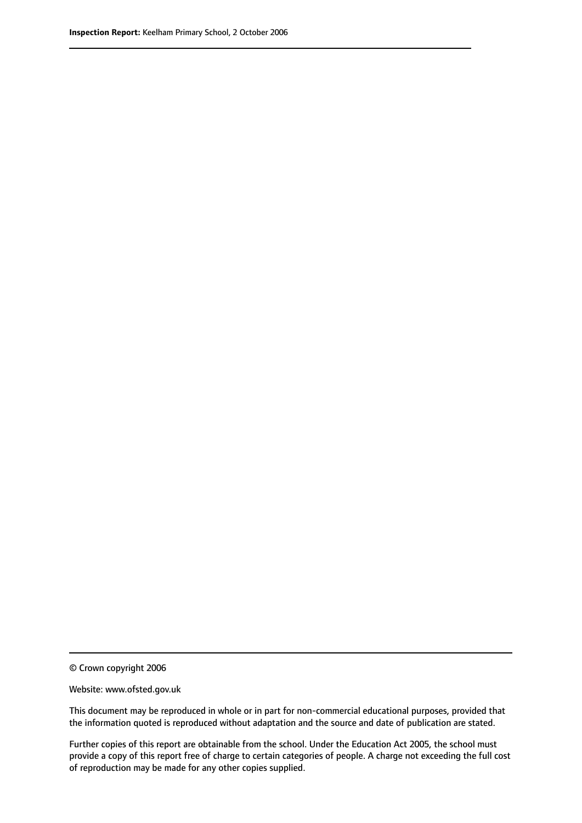© Crown copyright 2006

Website: www.ofsted.gov.uk

This document may be reproduced in whole or in part for non-commercial educational purposes, provided that the information quoted is reproduced without adaptation and the source and date of publication are stated.

Further copies of this report are obtainable from the school. Under the Education Act 2005, the school must provide a copy of this report free of charge to certain categories of people. A charge not exceeding the full cost of reproduction may be made for any other copies supplied.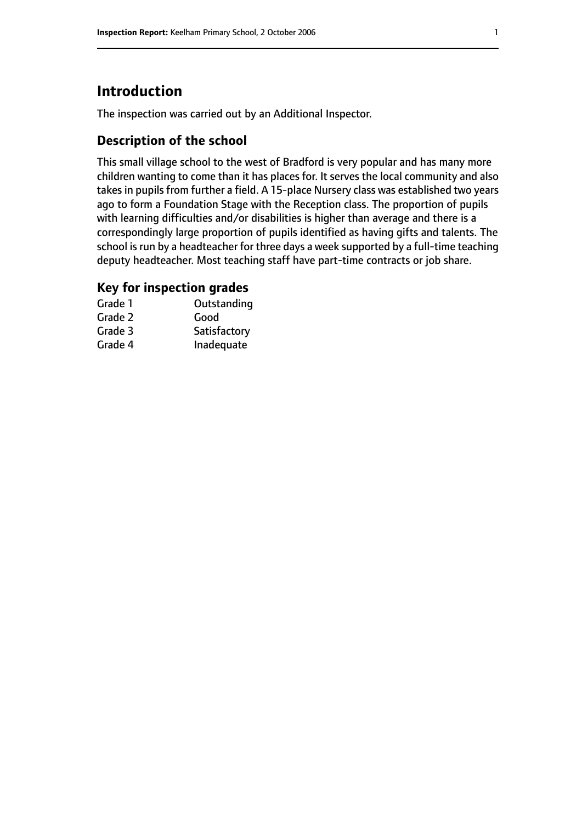# **Introduction**

The inspection was carried out by an Additional Inspector.

# **Description of the school**

This small village school to the west of Bradford is very popular and has many more children wanting to come than it has places for. It serves the local community and also takes in pupils from further a field. A 15-place Nursery class was established two years ago to form a Foundation Stage with the Reception class. The proportion of pupils with learning difficulties and/or disabilities is higher than average and there is a correspondingly large proportion of pupils identified as having gifts and talents. The school is run by a headteacher for three days a week supported by a full-time teaching deputy headteacher. Most teaching staff have part-time contracts or job share.

### **Key for inspection grades**

| Grade 1 | Outstanding  |
|---------|--------------|
| Grade 2 | Good         |
| Grade 3 | Satisfactory |
| Grade 4 | Inadequate   |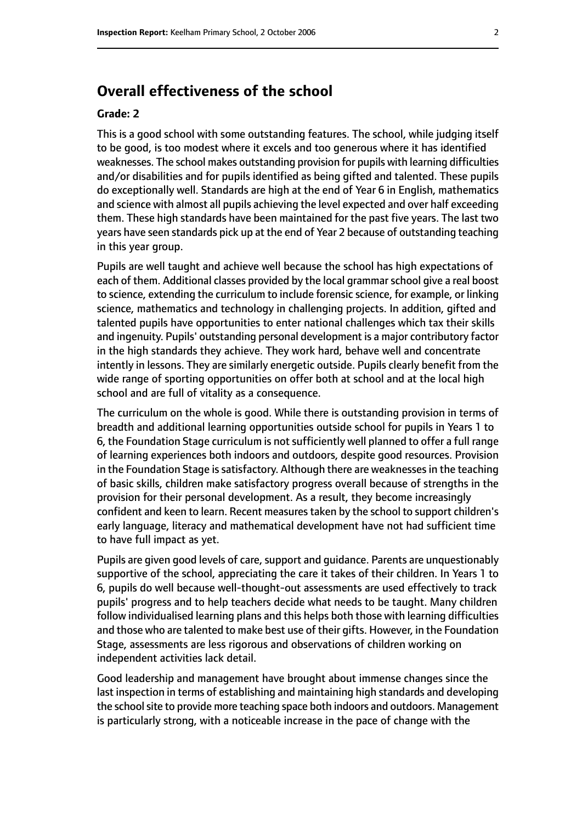# **Overall effectiveness of the school**

#### **Grade: 2**

This is a good school with some outstanding features. The school, while judging itself to be good, is too modest where it excels and too generous where it has identified weaknesses. The school makes outstanding provision for pupils with learning difficulties and/or disabilities and for pupils identified as being gifted and talented. These pupils do exceptionally well. Standards are high at the end of Year 6 in English, mathematics and science with almost all pupils achieving the level expected and over half exceeding them. These high standards have been maintained for the past five years. The last two years have seen standards pick up at the end of Year 2 because of outstanding teaching in this year group.

Pupils are well taught and achieve well because the school has high expectations of each of them. Additional classes provided by the local grammar school give a real boost to science, extending the curriculum to include forensic science, for example, or linking science, mathematics and technology in challenging projects. In addition, gifted and talented pupils have opportunities to enter national challenges which tax their skills and ingenuity. Pupils' outstanding personal development is a major contributory factor in the high standards they achieve. They work hard, behave well and concentrate intently in lessons. They are similarly energetic outside. Pupils clearly benefit from the wide range of sporting opportunities on offer both at school and at the local high school and are full of vitality as a consequence.

The curriculum on the whole is good. While there is outstanding provision in terms of breadth and additional learning opportunities outside school for pupils in Years 1 to 6, the Foundation Stage curriculum is notsufficiently well planned to offer a full range of learning experiences both indoors and outdoors, despite good resources. Provision in the Foundation Stage is satisfactory. Although there are weaknesses in the teaching of basic skills, children make satisfactory progress overall because of strengths in the provision for their personal development. As a result, they become increasingly confident and keen to learn. Recent measures taken by the school to support children's early language, literacy and mathematical development have not had sufficient time to have full impact as yet.

Pupils are given good levels of care, support and guidance. Parents are unquestionably supportive of the school, appreciating the care it takes of their children. In Years 1 to 6, pupils do well because well-thought-out assessments are used effectively to track pupils' progress and to help teachers decide what needs to be taught. Many children follow individualised learning plans and this helps both those with learning difficulties and those who are talented to make best use of their gifts. However, in the Foundation Stage, assessments are less rigorous and observations of children working on independent activities lack detail.

Good leadership and management have brought about immense changes since the last inspection in terms of establishing and maintaining high standards and developing the school site to provide more teaching space both indoors and outdoors. Management is particularly strong, with a noticeable increase in the pace of change with the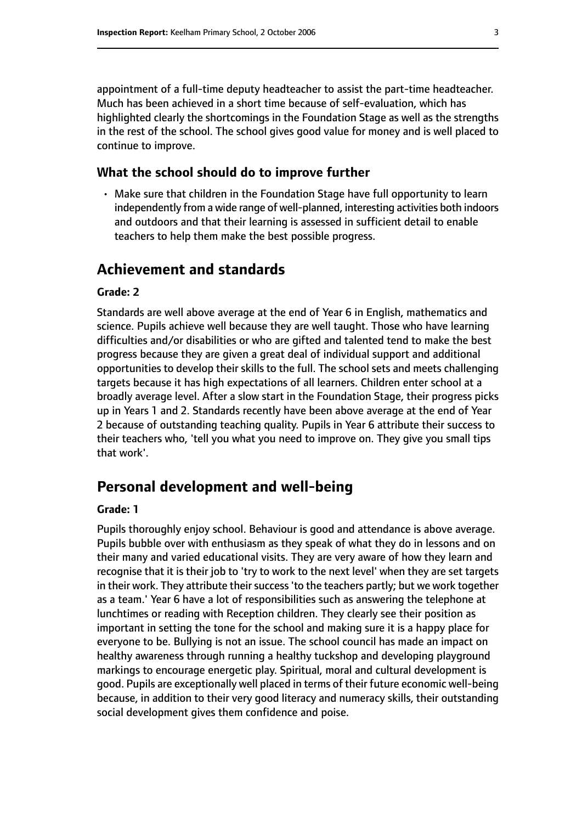appointment of a full-time deputy headteacher to assist the part-time headteacher. Much has been achieved in a short time because of self-evaluation, which has highlighted clearly the shortcomings in the Foundation Stage as well as the strengths in the rest of the school. The school gives good value for money and is well placed to continue to improve.

#### **What the school should do to improve further**

• Make sure that children in the Foundation Stage have full opportunity to learn independently from a wide range of well-planned, interesting activities both indoors and outdoors and that their learning is assessed in sufficient detail to enable teachers to help them make the best possible progress.

# **Achievement and standards**

#### **Grade: 2**

Standards are well above average at the end of Year 6 in English, mathematics and science. Pupils achieve well because they are well taught. Those who have learning difficulties and/or disabilities or who are gifted and talented tend to make the best progress because they are given a great deal of individual support and additional opportunities to develop their skills to the full. The school sets and meets challenging targets because it has high expectations of all learners. Children enter school at a broadly average level. After a slow start in the Foundation Stage, their progress picks up in Years 1 and 2. Standards recently have been above average at the end of Year 2 because of outstanding teaching quality. Pupils in Year 6 attribute their success to their teachers who, 'tell you what you need to improve on. They give you small tips that work'.

# **Personal development and well-being**

#### **Grade: 1**

Pupils thoroughly enjoy school. Behaviour is good and attendance is above average. Pupils bubble over with enthusiasm as they speak of what they do in lessons and on their many and varied educational visits. They are very aware of how they learn and recognise that it is their job to 'try to work to the next level' when they are set targets in their work. They attribute their success 'to the teachers partly; but we work together as a team.' Year 6 have a lot of responsibilities such as answering the telephone at lunchtimes or reading with Reception children. They clearly see their position as important in setting the tone for the school and making sure it is a happy place for everyone to be. Bullying is not an issue. The school council has made an impact on healthy awareness through running a healthy tuckshop and developing playground markings to encourage energetic play. Spiritual, moral and cultural development is good. Pupils are exceptionally well placed in terms of their future economic well-being because, in addition to their very good literacy and numeracy skills, their outstanding social development gives them confidence and poise.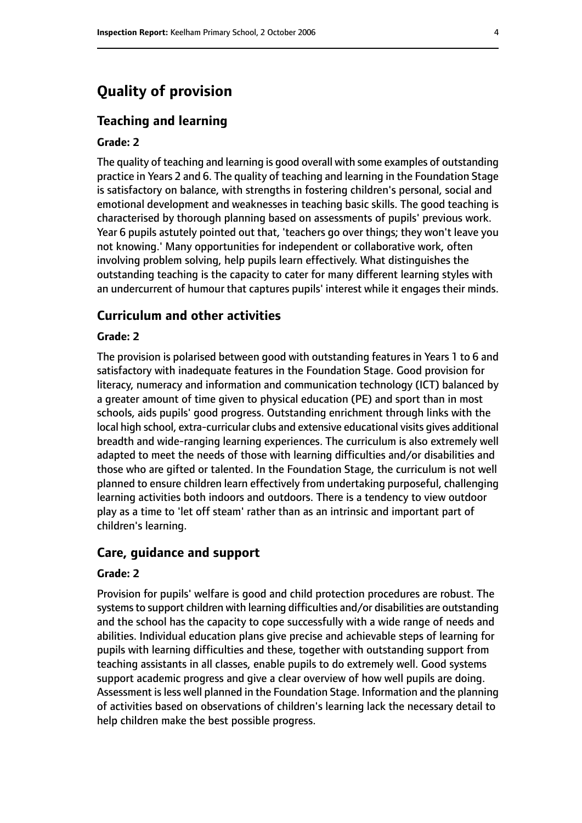# **Quality of provision**

#### **Teaching and learning**

#### **Grade: 2**

The quality of teaching and learning is good overall with some examples of outstanding practice in Years 2 and 6. The quality of teaching and learning in the Foundation Stage is satisfactory on balance, with strengths in fostering children's personal, social and emotional development and weaknesses in teaching basic skills. The good teaching is characterised by thorough planning based on assessments of pupils' previous work. Year 6 pupils astutely pointed out that, 'teachers go over things; they won't leave you not knowing.' Many opportunities for independent or collaborative work, often involving problem solving, help pupils learn effectively. What distinguishes the outstanding teaching is the capacity to cater for many different learning styles with an undercurrent of humour that captures pupils' interest while it engages their minds.

#### **Curriculum and other activities**

#### **Grade: 2**

The provision is polarised between good with outstanding features in Years 1 to 6 and satisfactory with inadequate features in the Foundation Stage. Good provision for literacy, numeracy and information and communication technology (ICT) balanced by a greater amount of time given to physical education (PE) and sport than in most schools, aids pupils' good progress. Outstanding enrichment through links with the local high school, extra-curricular clubs and extensive educational visits gives additional breadth and wide-ranging learning experiences. The curriculum is also extremely well adapted to meet the needs of those with learning difficulties and/or disabilities and those who are gifted or talented. In the Foundation Stage, the curriculum is not well planned to ensure children learn effectively from undertaking purposeful, challenging learning activities both indoors and outdoors. There is a tendency to view outdoor play as a time to 'let off steam' rather than as an intrinsic and important part of children's learning.

#### **Care, guidance and support**

#### **Grade: 2**

Provision for pupils' welfare is good and child protection procedures are robust. The systems to support children with learning difficulties and/or disabilities are outstanding and the school has the capacity to cope successfully with a wide range of needs and abilities. Individual education plans give precise and achievable steps of learning for pupils with learning difficulties and these, together with outstanding support from teaching assistants in all classes, enable pupils to do extremely well. Good systems support academic progress and give a clear overview of how well pupils are doing. Assessment is less well planned in the Foundation Stage. Information and the planning of activities based on observations of children's learning lack the necessary detail to help children make the best possible progress.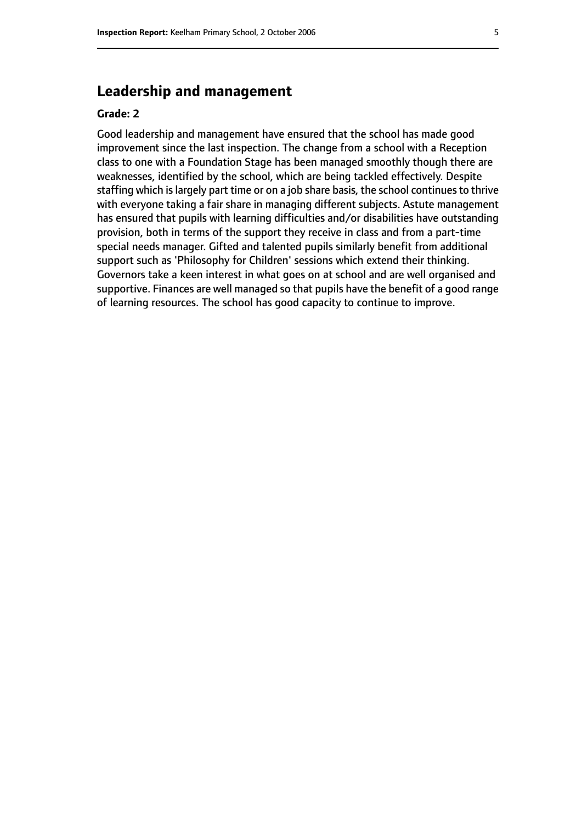# **Leadership and management**

#### **Grade: 2**

Good leadership and management have ensured that the school has made good improvement since the last inspection. The change from a school with a Reception class to one with a Foundation Stage has been managed smoothly though there are weaknesses, identified by the school, which are being tackled effectively. Despite staffing which is largely part time or on a job share basis, the school continues to thrive with everyone taking a fair share in managing different subjects. Astute management has ensured that pupils with learning difficulties and/or disabilities have outstanding provision, both in terms of the support they receive in class and from a part-time special needs manager. Gifted and talented pupils similarly benefit from additional support such as 'Philosophy for Children' sessions which extend their thinking. Governors take a keen interest in what goes on at school and are well organised and supportive. Finances are well managed so that pupils have the benefit of a good range of learning resources. The school has good capacity to continue to improve.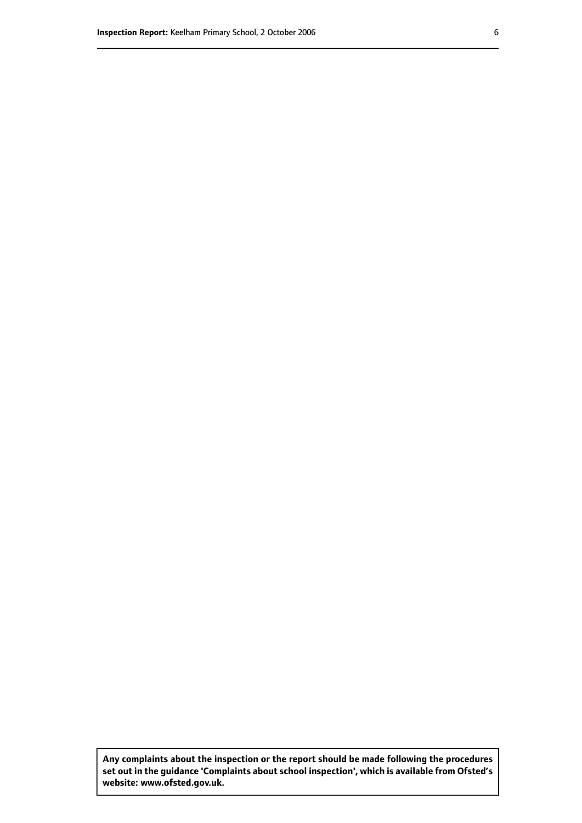**Any complaints about the inspection or the report should be made following the procedures set out inthe guidance 'Complaints about school inspection', whichis available from Ofsted's website: www.ofsted.gov.uk.**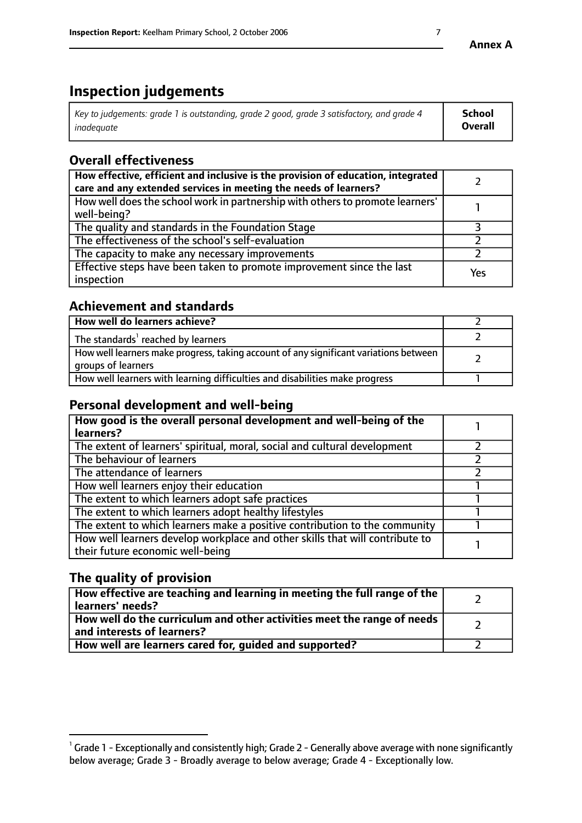# **Inspection judgements**

| $^{\circ}$ Key to judgements: grade 1 is outstanding, grade 2 good, grade 3 satisfactory, and grade 4 $^{\circ}$ | School         |
|------------------------------------------------------------------------------------------------------------------|----------------|
| inadequate                                                                                                       | <b>Overall</b> |

# **Overall effectiveness**

| How effective, efficient and inclusive is the provision of education, integrated<br>care and any extended services in meeting the needs of learners? |     |
|------------------------------------------------------------------------------------------------------------------------------------------------------|-----|
| How well does the school work in partnership with others to promote learners'<br>well-being?                                                         |     |
| The quality and standards in the Foundation Stage                                                                                                    |     |
| The effectiveness of the school's self-evaluation                                                                                                    |     |
| The capacity to make any necessary improvements                                                                                                      |     |
| Effective steps have been taken to promote improvement since the last<br>inspection                                                                  | Yes |

# **Achievement and standards**

| How well do learners achieve?                                                                               |  |
|-------------------------------------------------------------------------------------------------------------|--|
| The standards <sup>1</sup> reached by learners                                                              |  |
| How well learners make progress, taking account of any significant variations between<br>groups of learners |  |
| How well learners with learning difficulties and disabilities make progress                                 |  |

# **Personal development and well-being**

| How good is the overall personal development and well-being of the<br>learners?                                  |  |
|------------------------------------------------------------------------------------------------------------------|--|
| The extent of learners' spiritual, moral, social and cultural development                                        |  |
| The behaviour of learners                                                                                        |  |
| The attendance of learners                                                                                       |  |
| How well learners enjoy their education                                                                          |  |
| The extent to which learners adopt safe practices                                                                |  |
| The extent to which learners adopt healthy lifestyles                                                            |  |
| The extent to which learners make a positive contribution to the community                                       |  |
| How well learners develop workplace and other skills that will contribute to<br>their future economic well-being |  |

# **The quality of provision**

| How effective are teaching and learning in meeting the full range of the<br>learners' needs?          |  |
|-------------------------------------------------------------------------------------------------------|--|
| How well do the curriculum and other activities meet the range of needs<br>and interests of learners? |  |
| How well are learners cared for, guided and supported?                                                |  |

 $^1$  Grade 1 - Exceptionally and consistently high; Grade 2 - Generally above average with none significantly below average; Grade 3 - Broadly average to below average; Grade 4 - Exceptionally low.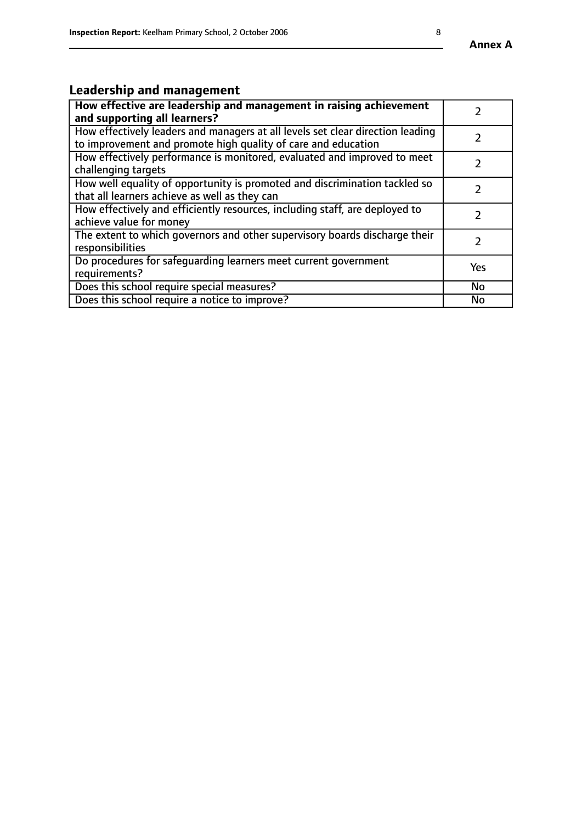# **Leadership and management**

| How effective are leadership and management in raising achievement<br>and supporting all learners?                                              |               |
|-------------------------------------------------------------------------------------------------------------------------------------------------|---------------|
| How effectively leaders and managers at all levels set clear direction leading<br>to improvement and promote high quality of care and education |               |
| How effectively performance is monitored, evaluated and improved to meet<br>challenging targets                                                 | $\mathcal{L}$ |
| How well equality of opportunity is promoted and discrimination tackled so<br>that all learners achieve as well as they can                     |               |
| How effectively and efficiently resources, including staff, are deployed to<br>achieve value for money                                          |               |
| The extent to which governors and other supervisory boards discharge their<br>responsibilities                                                  |               |
| Do procedures for safequarding learners meet current government<br>requirements?                                                                | Yes           |
| Does this school require special measures?                                                                                                      | No            |
| Does this school require a notice to improve?                                                                                                   | <b>No</b>     |